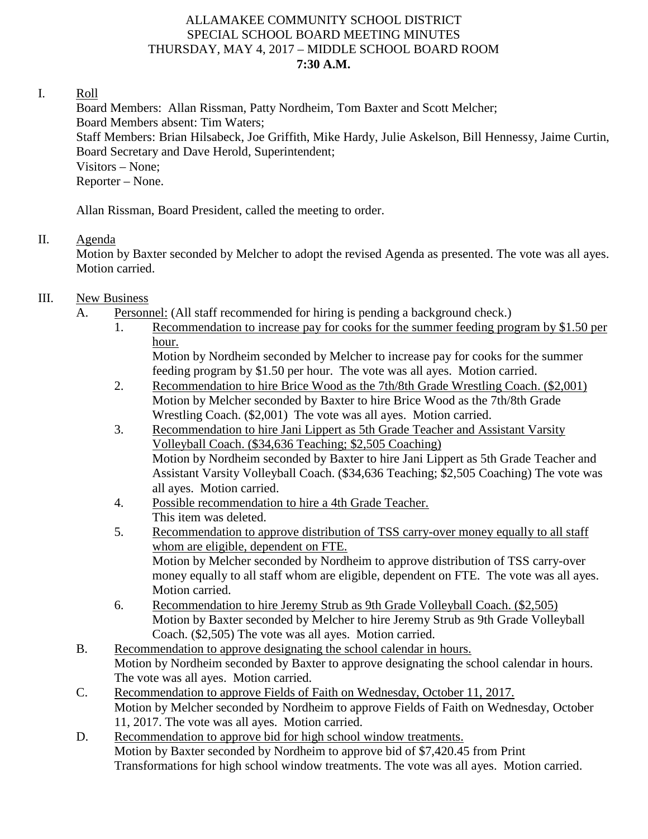#### ALLAMAKEE COMMUNITY SCHOOL DISTRICT SPECIAL SCHOOL BOARD MEETING MINUTES THURSDAY, MAY 4, 2017 – MIDDLE SCHOOL BOARD ROOM **7:30 A.M.**

#### I. Roll

Board Members: Allan Rissman, Patty Nordheim, Tom Baxter and Scott Melcher; Board Members absent: Tim Waters; Staff Members: Brian Hilsabeck, Joe Griffith, Mike Hardy, Julie Askelson, Bill Hennessy, Jaime Curtin, Board Secretary and Dave Herold, Superintendent; Visitors – None; Reporter – None.

Allan Rissman, Board President, called the meeting to order.

## II. Agenda

Motion by Baxter seconded by Melcher to adopt the revised Agenda as presented. The vote was all ayes. Motion carried.

## III. New Business

- A. Personnel: (All staff recommended for hiring is pending a background check.)
	- 1. Recommendation to increase pay for cooks for the summer feeding program by \$1.50 per hour.

Motion by Nordheim seconded by Melcher to increase pay for cooks for the summer feeding program by \$1.50 per hour. The vote was all ayes. Motion carried.

- 2. Recommendation to hire Brice Wood as the 7th/8th Grade Wrestling Coach. (\$2,001) Motion by Melcher seconded by Baxter to hire Brice Wood as the 7th/8th Grade Wrestling Coach. (\$2,001) The vote was all ayes. Motion carried.
- 3. Recommendation to hire Jani Lippert as 5th Grade Teacher and Assistant Varsity Volleyball Coach. (\$34,636 Teaching; \$2,505 Coaching) Motion by Nordheim seconded by Baxter to hire Jani Lippert as 5th Grade Teacher and Assistant Varsity Volleyball Coach. (\$34,636 Teaching; \$2,505 Coaching) The vote was all ayes. Motion carried.
- 4. Possible recommendation to hire a 4th Grade Teacher. This item was deleted.
- 5. Recommendation to approve distribution of TSS carry-over money equally to all staff whom are eligible, dependent on FTE. Motion by Melcher seconded by Nordheim to approve distribution of TSS carry-over money equally to all staff whom are eligible, dependent on FTE. The vote was all ayes. Motion carried.
- 6. Recommendation to hire Jeremy Strub as 9th Grade Volleyball Coach. (\$2,505) Motion by Baxter seconded by Melcher to hire Jeremy Strub as 9th Grade Volleyball Coach. (\$2,505) The vote was all ayes. Motion carried.
- B. Recommendation to approve designating the school calendar in hours. Motion by Nordheim seconded by Baxter to approve designating the school calendar in hours. The vote was all ayes. Motion carried.
- C. Recommendation to approve Fields of Faith on Wednesday, October 11, 2017. Motion by Melcher seconded by Nordheim to approve Fields of Faith on Wednesday, October 11, 2017. The vote was all ayes. Motion carried.
- D. Recommendation to approve bid for high school window treatments. Motion by Baxter seconded by Nordheim to approve bid of \$7,420.45 from Print Transformations for high school window treatments. The vote was all ayes. Motion carried.